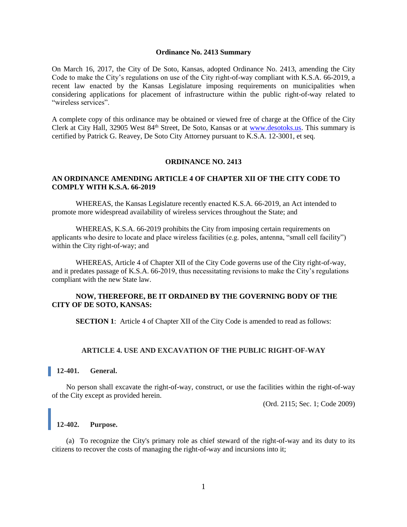#### **Ordinance No. 2413 Summary**

On March 16, 2017, the City of De Soto, Kansas, adopted Ordinance No. 2413, amending the City Code to make the City's regulations on use of the City right-of-way compliant with K.S.A. 66-2019, a recent law enacted by the Kansas Legislature imposing requirements on municipalities when considering applications for placement of infrastructure within the public right-of-way related to "wireless services".

A complete copy of this ordinance may be obtained or viewed free of charge at the Office of the City Clerk at City Hall, 32905 West 84th Street, De Soto, Kansas or at [www.desotoks.us.](http://www.desotoks.us/) This summary is certified by Patrick G. Reavey, De Soto City Attorney pursuant to K.S.A. 12-3001, et seq.

#### **ORDINANCE NO. 2413**

# **AN ORDINANCE AMENDING ARTICLE 4 OF CHAPTER XII OF THE CITY CODE TO COMPLY WITH K.S.A. 66-2019**

WHEREAS, the Kansas Legislature recently enacted K.S.A. 66-2019, an Act intended to promote more widespread availability of wireless services throughout the State; and

WHEREAS, K.S.A. 66-2019 prohibits the City from imposing certain requirements on applicants who desire to locate and place wireless facilities (e.g. poles, antenna, "small cell facility") within the City right-of-way; and

WHEREAS, Article 4 of Chapter XII of the City Code governs use of the City right-of-way, and it predates passage of K.S.A. 66-2019, thus necessitating revisions to make the City's regulations compliant with the new State law.

# **NOW, THEREFORE, BE IT ORDAINED BY THE GOVERNING BODY OF THE CITY OF DE SOTO, KANSAS:**

**SECTION 1:** Article 4 of Chapter XII of the City Code is amended to read as follows:

#### **ARTICLE 4. USE AND EXCAVATION OF THE PUBLIC RIGHT-OF-WAY**

## **12-401. General.**

No person shall excavate the right-of-way, construct, or use the facilities within the right-of-way of the City except as provided herein.

(Ord. 2115; Sec. 1; Code 2009)

# **12-402. Purpose.**

(a) To recognize the City's primary role as chief steward of the right-of-way and its duty to its citizens to recover the costs of managing the right-of-way and incursions into it;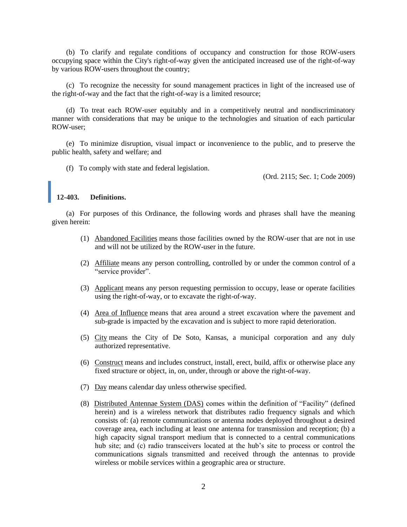(b) To clarify and regulate conditions of occupancy and construction for those ROW-users occupying space within the City's right-of-way given the anticipated increased use of the right-of-way by various ROW-users throughout the country;

(c) To recognize the necessity for sound management practices in light of the increased use of the right-of-way and the fact that the right-of-way is a limited resource;

(d) To treat each ROW-user equitably and in a competitively neutral and nondiscriminatory manner with considerations that may be unique to the technologies and situation of each particular ROW-user;

(e) To minimize disruption, visual impact or inconvenience to the public, and to preserve the public health, safety and welfare; and

(f) To comply with state and federal legislation.

(Ord. 2115; Sec. 1; Code 2009)

#### **12-403. Definitions.**

(a) For purposes of this Ordinance, the following words and phrases shall have the meaning given herein:

- (1) Abandoned Facilities means those facilities owned by the ROW-user that are not in use and will not be utilized by the ROW-user in the future.
- (2) Affiliate means any person controlling, controlled by or under the common control of a "service provider".
- (3) Applicant means any person requesting permission to occupy, lease or operate facilities using the right-of-way, or to excavate the right-of-way.
- (4) Area of Influence means that area around a street excavation where the pavement and sub-grade is impacted by the excavation and is subject to more rapid deterioration.
- (5) City means the City of De Soto, Kansas, a municipal corporation and any duly authorized representative.
- (6) Construct means and includes construct, install, erect, build, affix or otherwise place any fixed structure or object, in, on, under, through or above the right-of-way.
- (7) Day means calendar day unless otherwise specified.
- (8) Distributed Antennae System (DAS) comes within the definition of "Facility" (defined herein) and is a wireless network that distributes radio frequency signals and which consists of: (a) remote communications or antenna nodes deployed throughout a desired coverage area, each including at least one antenna for transmission and reception; (b) a high capacity signal transport medium that is connected to a central communications hub site; and (c) radio transceivers located at the hub's site to process or control the communications signals transmitted and received through the antennas to provide wireless or mobile services within a geographic area or structure.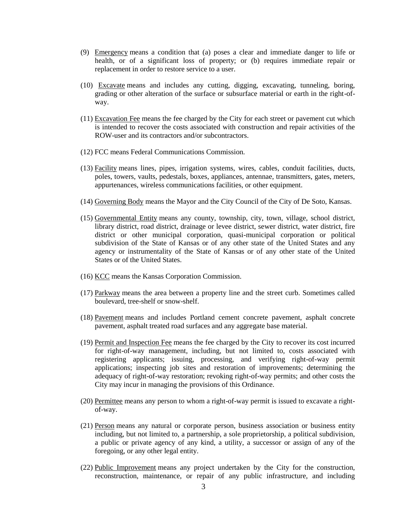- (9) Emergency means a condition that (a) poses a clear and immediate danger to life or health, or of a significant loss of property; or (b) requires immediate repair or replacement in order to restore service to a user.
- (10) Excavate means and includes any cutting, digging, excavating, tunneling, boring, grading or other alteration of the surface or subsurface material or earth in the right-ofway.
- (11) Excavation Fee means the fee charged by the City for each street or pavement cut which is intended to recover the costs associated with construction and repair activities of the ROW-user and its contractors and/or subcontractors.
- (12) FCC means Federal Communications Commission.
- (13) Facility means lines, pipes, irrigation systems, wires, cables, conduit facilities, ducts, poles, towers, vaults, pedestals, boxes, appliances, antennae, transmitters, gates, meters, appurtenances, wireless communications facilities, or other equipment.
- (14) Governing Body means the Mayor and the City Council of the City of De Soto, Kansas.
- (15) Governmental Entity means any county, township, city, town, village, school district, library district, road district, drainage or levee district, sewer district, water district, fire district or other municipal corporation, quasi-municipal corporation or political subdivision of the State of Kansas or of any other state of the United States and any agency or instrumentality of the State of Kansas or of any other state of the United States or of the United States.
- (16) KCC means the Kansas Corporation Commission.
- (17) Parkway means the area between a property line and the street curb. Sometimes called boulevard, tree-shelf or snow-shelf.
- (18) Pavement means and includes Portland cement concrete pavement, asphalt concrete pavement, asphalt treated road surfaces and any aggregate base material.
- (19) Permit and Inspection Fee means the fee charged by the City to recover its cost incurred for right-of-way management, including, but not limited to, costs associated with registering applicants; issuing, processing, and verifying right-of-way permit applications; inspecting job sites and restoration of improvements; determining the adequacy of right-of-way restoration; revoking right-of-way permits; and other costs the City may incur in managing the provisions of this Ordinance.
- (20) Permittee means any person to whom a right-of-way permit is issued to excavate a rightof-way.
- (21) Person means any natural or corporate person, business association or business entity including, but not limited to, a partnership, a sole proprietorship, a political subdivision, a public or private agency of any kind, a utility, a successor or assign of any of the foregoing, or any other legal entity.
- (22) Public Improvement means any project undertaken by the City for the construction, reconstruction, maintenance, or repair of any public infrastructure, and including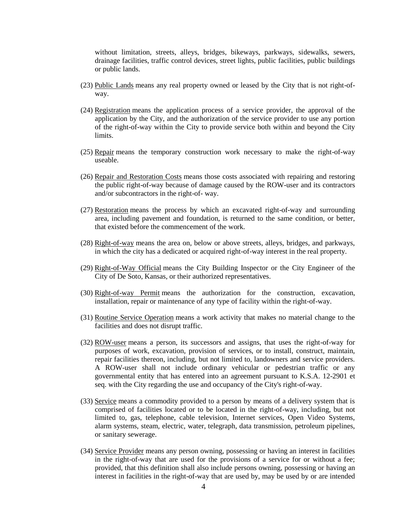without limitation, streets, alleys, bridges, bikeways, parkways, sidewalks, sewers, drainage facilities, traffic control devices, street lights, public facilities, public buildings or public lands.

- (23) Public Lands means any real property owned or leased by the City that is not right-ofway.
- (24) Registration means the application process of a service provider, the approval of the application by the City, and the authorization of the service provider to use any portion of the right-of-way within the City to provide service both within and beyond the City limits.
- (25) Repair means the temporary construction work necessary to make the right-of-way useable.
- (26) Repair and Restoration Costs means those costs associated with repairing and restoring the public right-of-way because of damage caused by the ROW-user and its contractors and/or subcontractors in the right-of- way.
- (27) Restoration means the process by which an excavated right-of-way and surrounding area, including pavement and foundation, is returned to the same condition, or better, that existed before the commencement of the work.
- (28) Right-of-way means the area on, below or above streets, alleys, bridges, and parkways, in which the city has a dedicated or acquired right-of-way interest in the real property.
- (29) Right-of-Way Official means the City Building Inspector or the City Engineer of the City of De Soto, Kansas, or their authorized representatives.
- (30) Right-of-way Permit means the authorization for the construction, excavation, installation, repair or maintenance of any type of facility within the right-of-way.
- (31) Routine Service Operation means a work activity that makes no material change to the facilities and does not disrupt traffic.
- (32) ROW-user means a person, its successors and assigns, that uses the right-of-way for purposes of work, excavation, provision of services, or to install, construct, maintain, repair facilities thereon, including, but not limited to, landowners and service providers. A ROW-user shall not include ordinary vehicular or pedestrian traffic or any governmental entity that has entered into an agreement pursuant to K.S.A. 12-2901 et seq. with the City regarding the use and occupancy of the City's right-of-way.
- (33) Service means a commodity provided to a person by means of a delivery system that is comprised of facilities located or to be located in the right-of-way, including, but not limited to, gas, telephone, cable television, Internet services, Open Video Systems, alarm systems, steam, electric, water, telegraph, data transmission, petroleum pipelines, or sanitary sewerage.
- (34) Service Provider means any person owning, possessing or having an interest in facilities in the right-of-way that are used for the provisions of a service for or without a fee; provided, that this definition shall also include persons owning, possessing or having an interest in facilities in the right-of-way that are used by, may be used by or are intended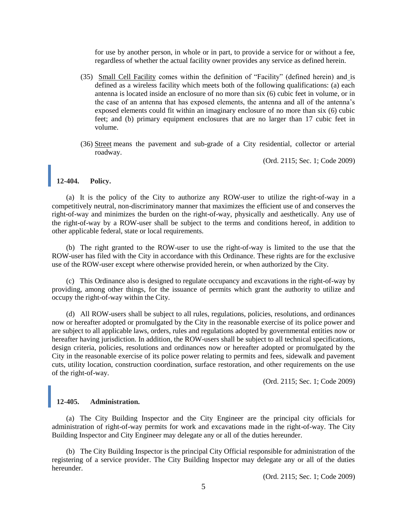for use by another person, in whole or in part, to provide a service for or without a fee, regardless of whether the actual facility owner provides any service as defined herein.

- (35) Small Cell Facility comes within the definition of "Facility" (defined herein) and is defined as a wireless facility which meets both of the following qualifications: (a) each antenna is located inside an enclosure of no more than six (6) cubic feet in volume, or in the case of an antenna that has exposed elements, the antenna and all of the antenna's exposed elements could fit within an imaginary enclosure of no more than six (6) cubic feet; and (b) primary equipment enclosures that are no larger than 17 cubic feet in volume.
- (36) Street means the pavement and sub-grade of a City residential, collector or arterial roadway.

(Ord. 2115; Sec. 1; Code 2009)

## **12-404. Policy.**

(a) It is the policy of the City to authorize any ROW-user to utilize the right-of-way in a competitively neutral, non-discriminatory manner that maximizes the efficient use of and conserves the right-of-way and minimizes the burden on the right-of-way, physically and aesthetically. Any use of the right-of-way by a ROW-user shall be subject to the terms and conditions hereof, in addition to other applicable federal, state or local requirements.

(b) The right granted to the ROW-user to use the right-of-way is limited to the use that the ROW-user has filed with the City in accordance with this Ordinance. These rights are for the exclusive use of the ROW-user except where otherwise provided herein, or when authorized by the City.

(c) This Ordinance also is designed to regulate occupancy and excavations in the right-of-way by providing, among other things, for the issuance of permits which grant the authority to utilize and occupy the right-of-way within the City.

(d) All ROW-users shall be subject to all rules, regulations, policies, resolutions, and ordinances now or hereafter adopted or promulgated by the City in the reasonable exercise of its police power and are subject to all applicable laws, orders, rules and regulations adopted by governmental entities now or hereafter having jurisdiction. In addition, the ROW-users shall be subject to all technical specifications, design criteria, policies, resolutions and ordinances now or hereafter adopted or promulgated by the City in the reasonable exercise of its police power relating to permits and fees, sidewalk and pavement cuts, utility location, construction coordination, surface restoration, and other requirements on the use of the right-of-way.

(Ord. 2115; Sec. 1; Code 2009)

### **12-405. Administration.**

(a) The City Building Inspector and the City Engineer are the principal city officials for administration of right-of-way permits for work and excavations made in the right-of-way. The City Building Inspector and City Engineer may delegate any or all of the duties hereunder.

(b) The City Building Inspector is the principal City Official responsible for administration of the registering of a service provider. The City Building Inspector may delegate any or all of the duties hereunder.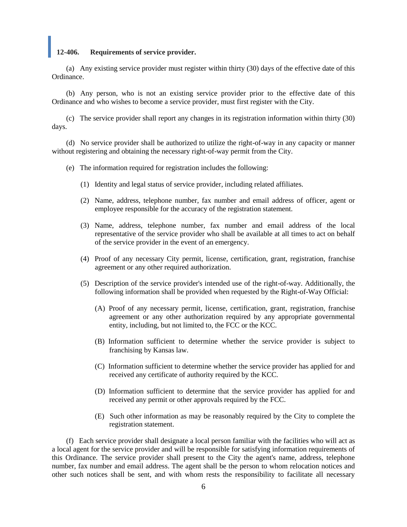## **12-406. Requirements of service provider.**

(a) Any existing service provider must register within thirty (30) days of the effective date of this Ordinance.

(b) Any person, who is not an existing service provider prior to the effective date of this Ordinance and who wishes to become a service provider, must first register with the City.

(c) The service provider shall report any changes in its registration information within thirty (30) days.

(d) No service provider shall be authorized to utilize the right-of-way in any capacity or manner without registering and obtaining the necessary right-of-way permit from the City.

(e) The information required for registration includes the following:

- (1) Identity and legal status of service provider, including related affiliates.
- (2) Name, address, telephone number, fax number and email address of officer, agent or employee responsible for the accuracy of the registration statement.
- (3) Name, address, telephone number, fax number and email address of the local representative of the service provider who shall be available at all times to act on behalf of the service provider in the event of an emergency.
- (4) Proof of any necessary City permit, license, certification, grant, registration, franchise agreement or any other required authorization.
- (5) Description of the service provider's intended use of the right-of-way. Additionally, the following information shall be provided when requested by the Right-of-Way Official:
	- (A) Proof of any necessary permit, license, certification, grant, registration, franchise agreement or any other authorization required by any appropriate governmental entity, including, but not limited to, the FCC or the KCC.
	- (B) Information sufficient to determine whether the service provider is subject to franchising by Kansas law.
	- (C) Information sufficient to determine whether the service provider has applied for and received any certificate of authority required by the KCC.
	- (D) Information sufficient to determine that the service provider has applied for and received any permit or other approvals required by the FCC.
	- (E) Such other information as may be reasonably required by the City to complete the registration statement.

(f) Each service provider shall designate a local person familiar with the facilities who will act as a local agent for the service provider and will be responsible for satisfying information requirements of this Ordinance. The service provider shall present to the City the agent's name, address, telephone number, fax number and email address. The agent shall be the person to whom relocation notices and other such notices shall be sent, and with whom rests the responsibility to facilitate all necessary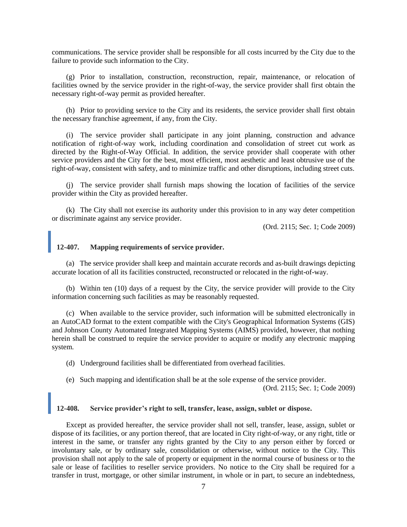communications. The service provider shall be responsible for all costs incurred by the City due to the failure to provide such information to the City.

(g) Prior to installation, construction, reconstruction, repair, maintenance, or relocation of facilities owned by the service provider in the right-of-way, the service provider shall first obtain the necessary right-of-way permit as provided hereafter.

(h) Prior to providing service to the City and its residents, the service provider shall first obtain the necessary franchise agreement, if any, from the City.

(i) The service provider shall participate in any joint planning, construction and advance notification of right-of-way work, including coordination and consolidation of street cut work as directed by the Right-of-Way Official. In addition, the service provider shall cooperate with other service providers and the City for the best, most efficient, most aesthetic and least obtrusive use of the right-of-way, consistent with safety, and to minimize traffic and other disruptions, including street cuts.

(j) The service provider shall furnish maps showing the location of facilities of the service provider within the City as provided hereafter.

(k) The City shall not exercise its authority under this provision to in any way deter competition or discriminate against any service provider.

(Ord. 2115; Sec. 1; Code 2009)

# **12-407. Mapping requirements of service provider.**

(a) The service provider shall keep and maintain accurate records and as-built drawings depicting accurate location of all its facilities constructed, reconstructed or relocated in the right-of-way.

(b) Within ten (10) days of a request by the City, the service provider will provide to the City information concerning such facilities as may be reasonably requested.

(c) When available to the service provider, such information will be submitted electronically in an AutoCAD format to the extent compatible with the City's Geographical Information Systems (GIS) and Johnson County Automated Integrated Mapping Systems (AIMS) provided, however, that nothing herein shall be construed to require the service provider to acquire or modify any electronic mapping system.

(d) Underground facilities shall be differentiated from overhead facilities.

(e) Such mapping and identification shall be at the sole expense of the service provider.

(Ord. 2115; Sec. 1; Code 2009)

# **12-408. Service provider's right to sell, transfer, lease, assign, sublet or dispose.**

Except as provided hereafter, the service provider shall not sell, transfer, lease, assign, sublet or dispose of its facilities, or any portion thereof, that are located in City right-of-way, or any right, title or interest in the same, or transfer any rights granted by the City to any person either by forced or involuntary sale, or by ordinary sale, consolidation or otherwise, without notice to the City. This provision shall not apply to the sale of property or equipment in the normal course of business or to the sale or lease of facilities to reseller service providers. No notice to the City shall be required for a transfer in trust, mortgage, or other similar instrument, in whole or in part, to secure an indebtedness,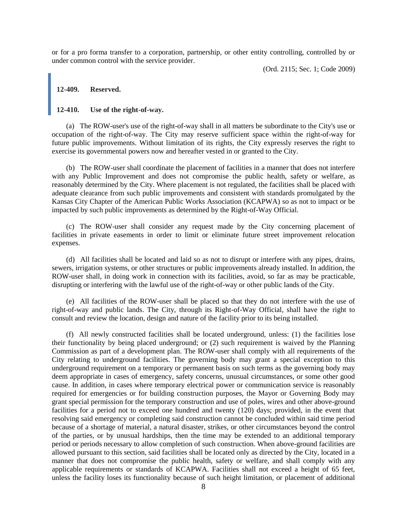or for a pro forma transfer to a corporation, partnership, or other entity controlling, controlled by or under common control with the service provider.

(Ord. 2115; Sec. 1; Code 2009)

#### **12-409. Reserved.**

# **12-410. Use of the right-of-way.**

(a) The ROW-user's use of the right-of-way shall in all matters be subordinate to the City's use or occupation of the right-of-way. The City may reserve sufficient space within the right-of-way for future public improvements. Without limitation of its rights, the City expressly reserves the right to exercise its governmental powers now and hereafter vested in or granted to the City.

(b) The ROW-user shall coordinate the placement of facilities in a manner that does not interfere with any Public Improvement and does not compromise the public health, safety or welfare, as reasonably determined by the City. Where placement is not regulated, the facilities shall be placed with adequate clearance from such public improvements and consistent with standards promulgated by the Kansas City Chapter of the American Public Works Association (KCAPWA) so as not to impact or be impacted by such public improvements as determined by the Right-of-Way Official.

(c) The ROW-user shall consider any request made by the City concerning placement of facilities in private easements in order to limit or eliminate future street improvement relocation expenses.

(d) All facilities shall be located and laid so as not to disrupt or interfere with any pipes, drains, sewers, irrigation systems, or other structures or public improvements already installed. In addition, the ROW-user shall, in doing work in connection with its facilities, avoid, so far as may be practicable, disrupting or interfering with the lawful use of the right-of-way or other public lands of the City.

(e) All facilities of the ROW-user shall be placed so that they do not interfere with the use of right-of-way and public lands. The City, through its Right-of-Way Official, shall have the right to consult and review the location, design and nature of the facility prior to its being installed.

(f) All newly constructed facilities shall be located underground, unless: (1) the facilities lose their functionality by being placed underground; or (2) such requirement is waived by the Planning Commission as part of a development plan. The ROW-user shall comply with all requirements of the City relating to underground facilities. The governing body may grant a special exception to this underground requirement on a temporary or permanent basis on such terms as the governing body may deem appropriate in cases of emergency, safety concerns, unusual circumstances, or some other good cause. In addition, in cases where temporary electrical power or communication service is reasonably required for emergencies or for building construction purposes, the Mayor or Governing Body may grant special permission for the temporary construction and use of poles, wires and other above-ground facilities for a period not to exceed one hundred and twenty (120) days; provided, in the event that resolving said emergency or completing said construction cannot be concluded within said time period because of a shortage of material, a natural disaster, strikes, or other circumstances beyond the control of the parties, or by unusual hardships, then the time may be extended to an additional temporary period or periods necessary to allow completion of such construction. When above-ground facilities are allowed pursuant to this section, said facilities shall be located only as directed by the City, located in a manner that does not compromise the public health, safety or welfare, and shall comply with any applicable requirements or standards of KCAPWA. Facilities shall not exceed a height of 65 feet, unless the facility loses its functionality because of such height limitation, or placement of additional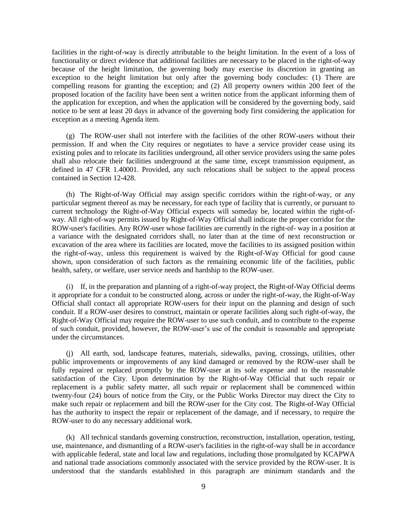facilities in the right-of-way is directly attributable to the height limitation. In the event of a loss of functionality or direct evidence that additional facilities are necessary to be placed in the right-of-way because of the height limitation, the governing body may exercise its discretion in granting an exception to the height limitation but only after the governing body concludes: (1) There are compelling reasons for granting the exception; and (2) All property owners within 200 feet of the proposed location of the facility have been sent a written notice from the applicant informing them of the application for exception, and when the application will be considered by the governing body, said notice to be sent at least 20 days in advance of the governing body first considering the application for exception as a meeting Agenda item.

(g) The ROW-user shall not interfere with the facilities of the other ROW-users without their permission. If and when the City requires or negotiates to have a service provider cease using its existing poles and to relocate its facilities underground, all other service providers using the same poles shall also relocate their facilities underground at the same time, except transmission equipment, as defined in 47 CFR 1.40001. Provided, any such relocations shall be subject to the appeal process contained in Section 12-428.

(h) The Right-of-Way Official may assign specific corridors within the right-of-way, or any particular segment thereof as may be necessary, for each type of facility that is currently, or pursuant to current technology the Right-of-Way Official expects will someday be, located within the right-ofway. All right-of-way permits issued by Right-of-Way Official shall indicate the proper corridor for the ROW-user's facilities. Any ROW-user whose facilities are currently in the right-of- way in a position at a variance with the designated corridors shall, no later than at the time of next reconstruction or excavation of the area where its facilities are located, move the facilities to its assigned position within the right-of-way, unless this requirement is waived by the Right-of-Way Official for good cause shown, upon consideration of such factors as the remaining economic life of the facilities, public health, safety, or welfare, user service needs and hardship to the ROW-user.

(i) If, in the preparation and planning of a right-of-way project, the Right-of-Way Official deems it appropriate for a conduit to be constructed along, across or under the right-of-way, the Right-of-Way Official shall contact all appropriate ROW-users for their input on the planning and design of such conduit. If a ROW-user desires to construct, maintain or operate facilities along such right-of-way, the Right-of-Way Official may require the ROW-user to use such conduit, and to contribute to the expense of such conduit, provided, however, the ROW-user's use of the conduit is reasonable and appropriate under the circumstances.

(j) All earth, sod, landscape features, materials, sidewalks, paving, crossings, utilities, other public improvements or improvements of any kind damaged or removed by the ROW-user shall be fully repaired or replaced promptly by the ROW-user at its sole expense and to the reasonable satisfaction of the City. Upon determination by the Right-of-Way Official that such repair or replacement is a public safety matter, all such repair or replacement shall be commenced within twenty-four (24) hours of notice from the City, or the Public Works Director may direct the City to make such repair or replacement and bill the ROW-user for the City cost. The Right-of-Way Official has the authority to inspect the repair or replacement of the damage, and if necessary, to require the ROW-user to do any necessary additional work.

(k) All technical standards governing construction, reconstruction, installation, operation, testing, use, maintenance, and dismantling of a ROW-user's facilities in the right-of-way shall be in accordance with applicable federal, state and local law and regulations, including those promulgated by KCAPWA and national trade associations commonly associated with the service provided by the ROW-user. It is understood that the standards established in this paragraph are minimum standards and the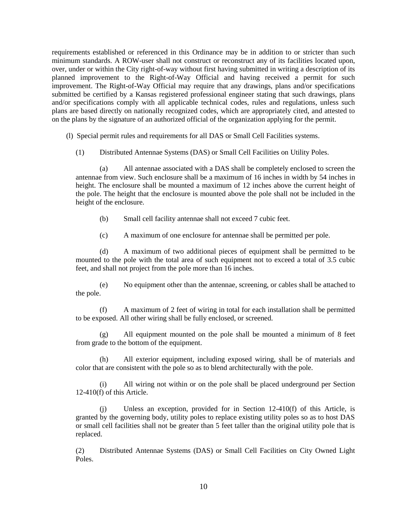requirements established or referenced in this Ordinance may be in addition to or stricter than such minimum standards. A ROW-user shall not construct or reconstruct any of its facilities located upon, over, under or within the City right-of-way without first having submitted in writing a description of its planned improvement to the Right-of-Way Official and having received a permit for such improvement. The Right-of-Way Official may require that any drawings, plans and/or specifications submitted be certified by a Kansas registered professional engineer stating that such drawings, plans and/or specifications comply with all applicable technical codes, rules and regulations, unless such plans are based directly on nationally recognized codes, which are appropriately cited, and attested to on the plans by the signature of an authorized official of the organization applying for the permit.

(l) Special permit rules and requirements for all DAS or Small Cell Facilities systems.

(1) Distributed Antennae Systems (DAS) or Small Cell Facilities on Utility Poles.

(a) All antennae associated with a DAS shall be completely enclosed to screen the antennae from view. Such enclosure shall be a maximum of 16 inches in width by 54 inches in height. The enclosure shall be mounted a maximum of 12 inches above the current height of the pole. The height that the enclosure is mounted above the pole shall not be included in the height of the enclosure.

- (b) Small cell facility antennae shall not exceed 7 cubic feet.
- (c) A maximum of one enclosure for antennae shall be permitted per pole.

(d) A maximum of two additional pieces of equipment shall be permitted to be mounted to the pole with the total area of such equipment not to exceed a total of 3.5 cubic feet, and shall not project from the pole more than 16 inches.

(e) No equipment other than the antennae, screening, or cables shall be attached to the pole.

(f) A maximum of 2 feet of wiring in total for each installation shall be permitted to be exposed. All other wiring shall be fully enclosed, or screened.

(g) All equipment mounted on the pole shall be mounted a minimum of 8 feet from grade to the bottom of the equipment.

(h) All exterior equipment, including exposed wiring, shall be of materials and color that are consistent with the pole so as to blend architecturally with the pole.

(i) All wiring not within or on the pole shall be placed underground per Section 12-410(f) of this Article.

(j) Unless an exception, provided for in Section 12-410(f) of this Article, is granted by the governing body, utility poles to replace existing utility poles so as to host DAS or small cell facilities shall not be greater than 5 feet taller than the original utility pole that is replaced.

(2) Distributed Antennae Systems (DAS) or Small Cell Facilities on City Owned Light Poles.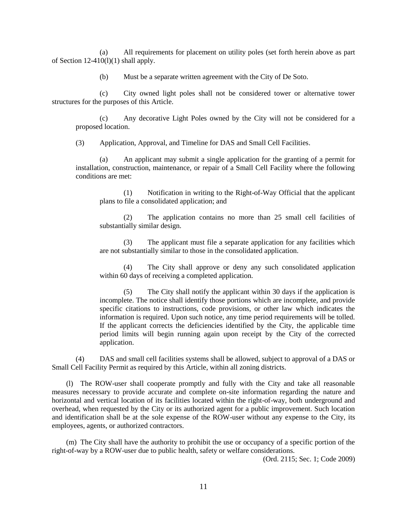(a) All requirements for placement on utility poles (set forth herein above as part of Section  $12-410(1)(1)$  shall apply.

(b) Must be a separate written agreement with the City of De Soto.

(c) City owned light poles shall not be considered tower or alternative tower structures for the purposes of this Article.

(c) Any decorative Light Poles owned by the City will not be considered for a proposed location.

(3) Application, Approval, and Timeline for DAS and Small Cell Facilities.

(a) An applicant may submit a single application for the granting of a permit for installation, construction, maintenance, or repair of a Small Cell Facility where the following conditions are met:

(1) Notification in writing to the Right-of-Way Official that the applicant plans to file a consolidated application; and

(2) The application contains no more than 25 small cell facilities of substantially similar design.

(3) The applicant must file a separate application for any facilities which are not substantially similar to those in the consolidated application.

(4) The City shall approve or deny any such consolidated application within 60 days of receiving a completed application.

(5) The City shall notify the applicant within 30 days if the application is incomplete. The notice shall identify those portions which are incomplete, and provide specific citations to instructions, code provisions, or other law which indicates the information is required. Upon such notice, any time period requirements will be tolled. If the applicant corrects the deficiencies identified by the City, the applicable time period limits will begin running again upon receipt by the City of the corrected application.

(4) DAS and small cell facilities systems shall be allowed, subject to approval of a DAS or Small Cell Facility Permit as required by this Article, within all zoning districts.

(l) The ROW-user shall cooperate promptly and fully with the City and take all reasonable measures necessary to provide accurate and complete on-site information regarding the nature and horizontal and vertical location of its facilities located within the right-of-way, both underground and overhead, when requested by the City or its authorized agent for a public improvement. Such location and identification shall be at the sole expense of the ROW-user without any expense to the City, its employees, agents, or authorized contractors.

(m) The City shall have the authority to prohibit the use or occupancy of a specific portion of the right-of-way by a ROW-user due to public health, safety or welfare considerations.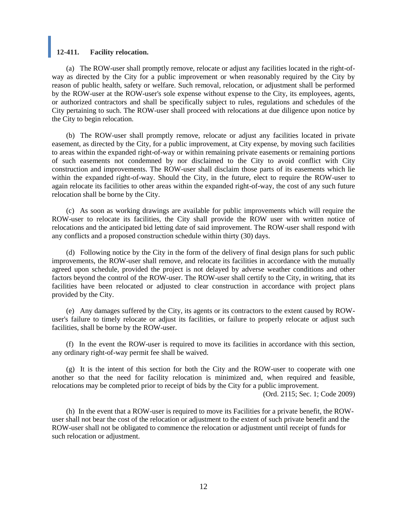## **12-411. Facility relocation.**

(a) The ROW-user shall promptly remove, relocate or adjust any facilities located in the right-ofway as directed by the City for a public improvement or when reasonably required by the City by reason of public health, safety or welfare. Such removal, relocation, or adjustment shall be performed by the ROW-user at the ROW-user's sole expense without expense to the City, its employees, agents, or authorized contractors and shall be specifically subject to rules, regulations and schedules of the City pertaining to such. The ROW-user shall proceed with relocations at due diligence upon notice by the City to begin relocation.

(b) The ROW-user shall promptly remove, relocate or adjust any facilities located in private easement, as directed by the City, for a public improvement, at City expense, by moving such facilities to areas within the expanded right-of-way or within remaining private easements or remaining portions of such easements not condemned by nor disclaimed to the City to avoid conflict with City construction and improvements. The ROW-user shall disclaim those parts of its easements which lie within the expanded right-of-way. Should the City, in the future, elect to require the ROW-user to again relocate its facilities to other areas within the expanded right-of-way, the cost of any such future relocation shall be borne by the City.

(c) As soon as working drawings are available for public improvements which will require the ROW-user to relocate its facilities, the City shall provide the ROW user with written notice of relocations and the anticipated bid letting date of said improvement. The ROW-user shall respond with any conflicts and a proposed construction schedule within thirty (30) days.

(d) Following notice by the City in the form of the delivery of final design plans for such public improvements, the ROW-user shall remove, and relocate its facilities in accordance with the mutually agreed upon schedule, provided the project is not delayed by adverse weather conditions and other factors beyond the control of the ROW-user. The ROW-user shall certify to the City, in writing, that its facilities have been relocated or adjusted to clear construction in accordance with project plans provided by the City.

(e) Any damages suffered by the City, its agents or its contractors to the extent caused by ROWuser's failure to timely relocate or adjust its facilities, or failure to properly relocate or adjust such facilities, shall be borne by the ROW-user.

(f) In the event the ROW-user is required to move its facilities in accordance with this section, any ordinary right-of-way permit fee shall be waived.

(g) It is the intent of this section for both the City and the ROW-user to cooperate with one another so that the need for facility relocation is minimized and, when required and feasible, relocations may be completed prior to receipt of bids by the City for a public improvement.

(Ord. 2115; Sec. 1; Code 2009)

(h) In the event that a ROW-user is required to move its Facilities for a private benefit, the ROWuser shall not bear the cost of the relocation or adjustment to the extent of such private benefit and the ROW-user shall not be obligated to commence the relocation or adjustment until receipt of funds for such relocation or adjustment.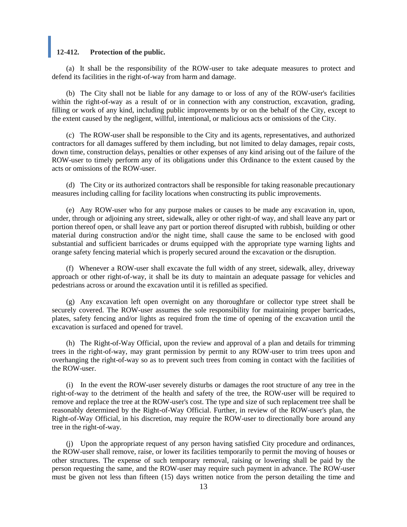## **12-412. Protection of the public.**

(a) It shall be the responsibility of the ROW-user to take adequate measures to protect and defend its facilities in the right-of-way from harm and damage.

(b) The City shall not be liable for any damage to or loss of any of the ROW-user's facilities within the right-of-way as a result of or in connection with any construction, excavation, grading, filling or work of any kind, including public improvements by or on the behalf of the City, except to the extent caused by the negligent, willful, intentional, or malicious acts or omissions of the City.

(c) The ROW-user shall be responsible to the City and its agents, representatives, and authorized contractors for all damages suffered by them including, but not limited to delay damages, repair costs, down time, construction delays, penalties or other expenses of any kind arising out of the failure of the ROW-user to timely perform any of its obligations under this Ordinance to the extent caused by the acts or omissions of the ROW-user.

(d) The City or its authorized contractors shall be responsible for taking reasonable precautionary measures including calling for facility locations when constructing its public improvements.

(e) Any ROW-user who for any purpose makes or causes to be made any excavation in, upon, under, through or adjoining any street, sidewalk, alley or other right-of way, and shall leave any part or portion thereof open, or shall leave any part or portion thereof disrupted with rubbish, building or other material during construction and/or the night time, shall cause the same to be enclosed with good substantial and sufficient barricades or drums equipped with the appropriate type warning lights and orange safety fencing material which is properly secured around the excavation or the disruption.

(f) Whenever a ROW-user shall excavate the full width of any street, sidewalk, alley, driveway approach or other right-of-way, it shall be its duty to maintain an adequate passage for vehicles and pedestrians across or around the excavation until it is refilled as specified.

(g) Any excavation left open overnight on any thoroughfare or collector type street shall be securely covered. The ROW-user assumes the sole responsibility for maintaining proper barricades, plates, safety fencing and/or lights as required from the time of opening of the excavation until the excavation is surfaced and opened for travel.

(h) The Right-of-Way Official, upon the review and approval of a plan and details for trimming trees in the right-of-way, may grant permission by permit to any ROW-user to trim trees upon and overhanging the right-of-way so as to prevent such trees from coming in contact with the facilities of the ROW-user.

(i) In the event the ROW-user severely disturbs or damages the root structure of any tree in the right-of-way to the detriment of the health and safety of the tree, the ROW-user will be required to remove and replace the tree at the ROW-user's cost. The type and size of such replacement tree shall be reasonably determined by the Right-of-Way Official. Further, in review of the ROW-user's plan, the Right-of-Way Official, in his discretion, may require the ROW-user to directionally bore around any tree in the right-of-way.

(j) Upon the appropriate request of any person having satisfied City procedure and ordinances, the ROW-user shall remove, raise, or lower its facilities temporarily to permit the moving of houses or other structures. The expense of such temporary removal, raising or lowering shall be paid by the person requesting the same, and the ROW-user may require such payment in advance. The ROW-user must be given not less than fifteen (15) days written notice from the person detailing the time and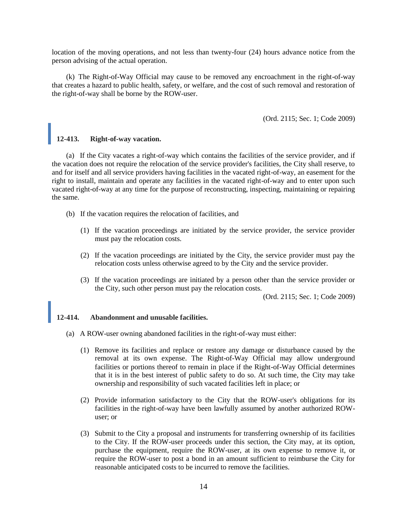location of the moving operations, and not less than twenty-four (24) hours advance notice from the person advising of the actual operation.

(k) The Right-of-Way Official may cause to be removed any encroachment in the right-of-way that creates a hazard to public health, safety, or welfare, and the cost of such removal and restoration of the right-of-way shall be borne by the ROW-user.

(Ord. 2115; Sec. 1; Code 2009)

# **12-413. Right-of-way vacation.**

(a) If the City vacates a right-of-way which contains the facilities of the service provider, and if the vacation does not require the relocation of the service provider's facilities, the City shall reserve, to and for itself and all service providers having facilities in the vacated right-of-way, an easement for the right to install, maintain and operate any facilities in the vacated right-of-way and to enter upon such vacated right-of-way at any time for the purpose of reconstructing, inspecting, maintaining or repairing the same.

- (b) If the vacation requires the relocation of facilities, and
	- (1) If the vacation proceedings are initiated by the service provider, the service provider must pay the relocation costs.
	- (2) If the vacation proceedings are initiated by the City, the service provider must pay the relocation costs unless otherwise agreed to by the City and the service provider.
	- (3) If the vacation proceedings are initiated by a person other than the service provider or the City, such other person must pay the relocation costs.

(Ord. 2115; Sec. 1; Code 2009)

#### **12-414. Abandonment and unusable facilities.**

- (a) A ROW-user owning abandoned facilities in the right-of-way must either:
	- (1) Remove its facilities and replace or restore any damage or disturbance caused by the removal at its own expense. The Right-of-Way Official may allow underground facilities or portions thereof to remain in place if the Right-of-Way Official determines that it is in the best interest of public safety to do so. At such time, the City may take ownership and responsibility of such vacated facilities left in place; or
	- (2) Provide information satisfactory to the City that the ROW-user's obligations for its facilities in the right-of-way have been lawfully assumed by another authorized ROWuser; or
	- (3) Submit to the City a proposal and instruments for transferring ownership of its facilities to the City. If the ROW-user proceeds under this section, the City may, at its option, purchase the equipment, require the ROW-user, at its own expense to remove it, or require the ROW-user to post a bond in an amount sufficient to reimburse the City for reasonable anticipated costs to be incurred to remove the facilities.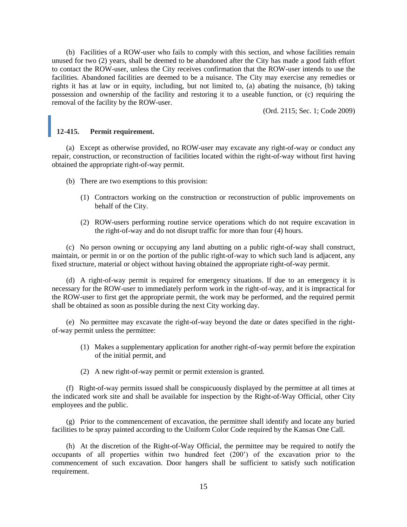(b) Facilities of a ROW-user who fails to comply with this section, and whose facilities remain unused for two (2) years, shall be deemed to be abandoned after the City has made a good faith effort to contact the ROW-user, unless the City receives confirmation that the ROW-user intends to use the facilities. Abandoned facilities are deemed to be a nuisance. The City may exercise any remedies or rights it has at law or in equity, including, but not limited to, (a) abating the nuisance, (b) taking possession and ownership of the facility and restoring it to a useable function, or (c) requiring the removal of the facility by the ROW-user.

(Ord. 2115; Sec. 1; Code 2009)

# **12-415. Permit requirement.**

(a) Except as otherwise provided, no ROW-user may excavate any right-of-way or conduct any repair, construction, or reconstruction of facilities located within the right-of-way without first having obtained the appropriate right-of-way permit.

- (b) There are two exemptions to this provision:
	- (1) Contractors working on the construction or reconstruction of public improvements on behalf of the City.
	- (2) ROW-users performing routine service operations which do not require excavation in the right-of-way and do not disrupt traffic for more than four (4) hours.

(c) No person owning or occupying any land abutting on a public right-of-way shall construct, maintain, or permit in or on the portion of the public right-of-way to which such land is adjacent, any fixed structure, material or object without having obtained the appropriate right-of-way permit.

(d) A right-of-way permit is required for emergency situations. If due to an emergency it is necessary for the ROW-user to immediately perform work in the right-of-way, and it is impractical for the ROW-user to first get the appropriate permit, the work may be performed, and the required permit shall be obtained as soon as possible during the next City working day.

(e) No permittee may excavate the right-of-way beyond the date or dates specified in the rightof-way permit unless the permittee:

- (1) Makes a supplementary application for another right-of-way permit before the expiration of the initial permit, and
- (2) A new right-of-way permit or permit extension is granted.

(f) Right-of-way permits issued shall be conspicuously displayed by the permittee at all times at the indicated work site and shall be available for inspection by the Right-of-Way Official, other City employees and the public.

(g) Prior to the commencement of excavation, the permittee shall identify and locate any buried facilities to be spray painted according to the Uniform Color Code required by the Kansas One Call.

(h) At the discretion of the Right-of-Way Official, the permittee may be required to notify the occupants of all properties within two hundred feet (200') of the excavation prior to the commencement of such excavation. Door hangers shall be sufficient to satisfy such notification requirement.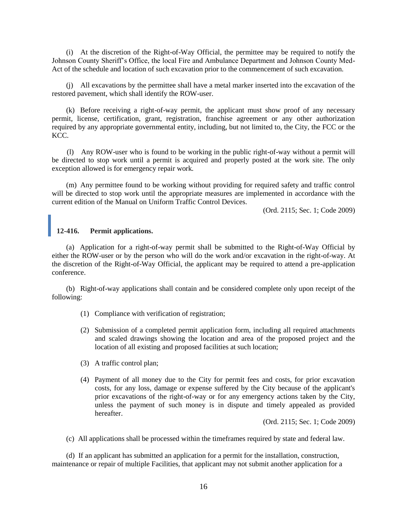(i) At the discretion of the Right-of-Way Official, the permittee may be required to notify the Johnson County Sheriff's Office, the local Fire and Ambulance Department and Johnson County Med-Act of the schedule and location of such excavation prior to the commencement of such excavation.

(j) All excavations by the permittee shall have a metal marker inserted into the excavation of the restored pavement, which shall identify the ROW-user.

(k) Before receiving a right-of-way permit, the applicant must show proof of any necessary permit, license, certification, grant, registration, franchise agreement or any other authorization required by any appropriate governmental entity, including, but not limited to, the City, the FCC or the KCC.

(l) Any ROW-user who is found to be working in the public right-of-way without a permit will be directed to stop work until a permit is acquired and properly posted at the work site. The only exception allowed is for emergency repair work.

(m) Any permittee found to be working without providing for required safety and traffic control will be directed to stop work until the appropriate measures are implemented in accordance with the current edition of the Manual on Uniform Traffic Control Devices.

(Ord. 2115; Sec. 1; Code 2009)

# **12-416. Permit applications.**

(a) Application for a right-of-way permit shall be submitted to the Right-of-Way Official by either the ROW-user or by the person who will do the work and/or excavation in the right-of-way. At the discretion of the Right-of-Way Official, the applicant may be required to attend a pre-application conference.

(b) Right-of-way applications shall contain and be considered complete only upon receipt of the following:

- (1) Compliance with verification of registration;
- (2) Submission of a completed permit application form, including all required attachments and scaled drawings showing the location and area of the proposed project and the location of all existing and proposed facilities at such location;
- (3) A traffic control plan;
- (4) Payment of all money due to the City for permit fees and costs, for prior excavation costs, for any loss, damage or expense suffered by the City because of the applicant's prior excavations of the right-of-way or for any emergency actions taken by the City, unless the payment of such money is in dispute and timely appealed as provided hereafter.

(Ord. 2115; Sec. 1; Code 2009)

(c) All applications shall be processed within the timeframes required by state and federal law.

(d) If an applicant has submitted an application for a permit for the installation, construction, maintenance or repair of multiple Facilities, that applicant may not submit another application for a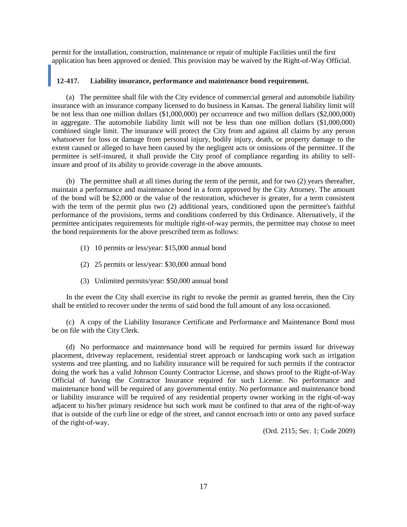permit for the installation, construction, maintenance or repair of multiple Facilities until the first application has been approved or denied. This provision may be waived by the Right-of-Way Official.

## **12-417. Liability insurance, performance and maintenance bond requirement.**

(a) The permittee shall file with the City evidence of commercial general and automobile liability insurance with an insurance company licensed to do business in Kansas. The general liability limit will be not less than one million dollars (\$1,000,000) per occurrence and two million dollars (\$2,000,000) in aggregate. The automobile liability limit will not be less than one million dollars (\$1,000,000) combined single limit. The insurance will protect the City from and against all claims by any person whatsoever for loss or damage from personal injury, bodily injury, death, or property damage to the extent caused or alleged to have been caused by the negligent acts or omissions of the permittee. If the permittee is self-insured, it shall provide the City proof of compliance regarding its ability to selfinsure and proof of its ability to provide coverage in the above amounts.

(b) The permittee shall at all times during the term of the permit, and for two (2) years thereafter, maintain a performance and maintenance bond in a form approved by the City Attorney. The amount of the bond will be \$2,000 or the value of the restoration, whichever is greater, for a term consistent with the term of the permit plus two (2) additional years, conditioned upon the permittee's faithful performance of the provisions, terms and conditions conferred by this Ordinance. Alternatively, if the permittee anticipates requirements for multiple right-of-way permits, the permittee may choose to meet the bond requirements for the above prescribed term as follows:

- (1) 10 permits or less/year: \$15,000 annual bond
- (2) 25 permits or less/year: \$30,000 annual bond
- (3) Unlimited permits/year: \$50,000 annual bond

In the event the City shall exercise its right to revoke the permit as granted herein, then the City shall be entitled to recover under the terms of said bond the full amount of any loss occasioned.

(c) A copy of the Liability Insurance Certificate and Performance and Maintenance Bond must be on file with the City Clerk.

(d) No performance and maintenance bond will be required for permits issued for driveway placement, driveway replacement, residential street approach or landscaping work such as irrigation systems and tree planting, and no liability insurance will be required for such permits if the contractor doing the work has a valid Johnson County Contractor License, and shows proof to the Right-of-Way Official of having the Contractor Insurance required for such License. No performance and maintenance bond will be required of any governmental entity. No performance and maintenance bond or liability insurance will be required of any residential property owner working in the right-of-way adjacent to his/her primary residence but such work must be confined to that area of the right-of-way that is outside of the curb line or edge of the street, and cannot encroach into or onto any paved surface of the right-of-way.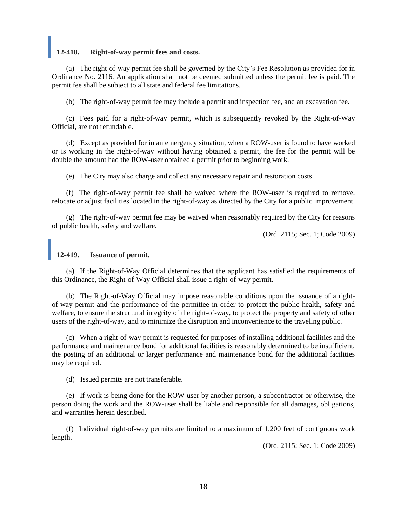## **12-418. Right-of-way permit fees and costs.**

(a) The right-of-way permit fee shall be governed by the City's Fee Resolution as provided for in Ordinance No. 2116. An application shall not be deemed submitted unless the permit fee is paid. The permit fee shall be subject to all state and federal fee limitations.

(b) The right-of-way permit fee may include a permit and inspection fee, and an excavation fee.

(c) Fees paid for a right-of-way permit, which is subsequently revoked by the Right-of-Way Official, are not refundable.

(d) Except as provided for in an emergency situation, when a ROW-user is found to have worked or is working in the right-of-way without having obtained a permit, the fee for the permit will be double the amount had the ROW-user obtained a permit prior to beginning work.

(e) The City may also charge and collect any necessary repair and restoration costs.

(f) The right-of-way permit fee shall be waived where the ROW-user is required to remove, relocate or adjust facilities located in the right-of-way as directed by the City for a public improvement.

(g) The right-of-way permit fee may be waived when reasonably required by the City for reasons of public health, safety and welfare.

(Ord. 2115; Sec. 1; Code 2009)

#### **12-419. Issuance of permit.**

(a) If the Right-of-Way Official determines that the applicant has satisfied the requirements of this Ordinance, the Right-of-Way Official shall issue a right-of-way permit.

(b) The Right-of-Way Official may impose reasonable conditions upon the issuance of a rightof-way permit and the performance of the permittee in order to protect the public health, safety and welfare, to ensure the structural integrity of the right-of-way, to protect the property and safety of other users of the right-of-way, and to minimize the disruption and inconvenience to the traveling public.

(c) When a right-of-way permit is requested for purposes of installing additional facilities and the performance and maintenance bond for additional facilities is reasonably determined to be insufficient, the posting of an additional or larger performance and maintenance bond for the additional facilities may be required.

(d) Issued permits are not transferable.

(e) If work is being done for the ROW-user by another person, a subcontractor or otherwise, the person doing the work and the ROW-user shall be liable and responsible for all damages, obligations, and warranties herein described.

(f) Individual right-of-way permits are limited to a maximum of 1,200 feet of contiguous work length.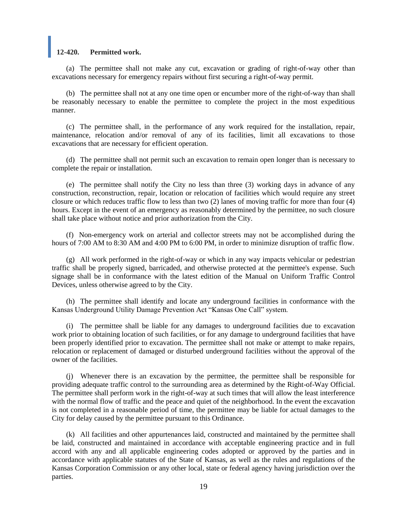#### **12-420. Permitted work.**

(a) The permittee shall not make any cut, excavation or grading of right-of-way other than excavations necessary for emergency repairs without first securing a right-of-way permit.

(b) The permittee shall not at any one time open or encumber more of the right-of-way than shall be reasonably necessary to enable the permittee to complete the project in the most expeditious manner.

(c) The permittee shall, in the performance of any work required for the installation, repair, maintenance, relocation and/or removal of any of its facilities, limit all excavations to those excavations that are necessary for efficient operation.

(d) The permittee shall not permit such an excavation to remain open longer than is necessary to complete the repair or installation.

(e) The permittee shall notify the City no less than three (3) working days in advance of any construction, reconstruction, repair, location or relocation of facilities which would require any street closure or which reduces traffic flow to less than two (2) lanes of moving traffic for more than four (4) hours. Except in the event of an emergency as reasonably determined by the permittee, no such closure shall take place without notice and prior authorization from the City.

(f) Non-emergency work on arterial and collector streets may not be accomplished during the hours of 7:00 AM to 8:30 AM and 4:00 PM to 6:00 PM, in order to minimize disruption of traffic flow.

(g) All work performed in the right-of-way or which in any way impacts vehicular or pedestrian traffic shall be properly signed, barricaded, and otherwise protected at the permittee's expense. Such signage shall be in conformance with the latest edition of the Manual on Uniform Traffic Control Devices, unless otherwise agreed to by the City.

(h) The permittee shall identify and locate any underground facilities in conformance with the Kansas Underground Utility Damage Prevention Act "Kansas One Call" system.

(i) The permittee shall be liable for any damages to underground facilities due to excavation work prior to obtaining location of such facilities, or for any damage to underground facilities that have been properly identified prior to excavation. The permittee shall not make or attempt to make repairs, relocation or replacement of damaged or disturbed underground facilities without the approval of the owner of the facilities.

(j) Whenever there is an excavation by the permittee, the permittee shall be responsible for providing adequate traffic control to the surrounding area as determined by the Right-of-Way Official. The permittee shall perform work in the right-of-way at such times that will allow the least interference with the normal flow of traffic and the peace and quiet of the neighborhood. In the event the excavation is not completed in a reasonable period of time, the permittee may be liable for actual damages to the City for delay caused by the permittee pursuant to this Ordinance.

(k) All facilities and other appurtenances laid, constructed and maintained by the permittee shall be laid, constructed and maintained in accordance with acceptable engineering practice and in full accord with any and all applicable engineering codes adopted or approved by the parties and in accordance with applicable statutes of the State of Kansas, as well as the rules and regulations of the Kansas Corporation Commission or any other local, state or federal agency having jurisdiction over the parties.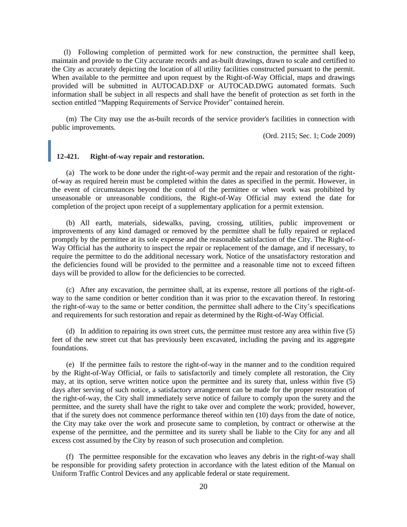(l) Following completion of permitted work for new construction, the permittee shall keep, maintain and provide to the City accurate records and as-built drawings, drawn to scale and certified to the City as accurately depicting the location of all utility facilities constructed pursuant to the permit. When available to the permittee and upon request by the Right-of-Way Official, maps and drawings provided will be submitted in AUTOCAD.DXF or AUTOCAD.DWG automated formats. Such information shall be subject in all respects and shall have the benefit of protection as set forth in the section entitled "Mapping Requirements of Service Provider" contained herein.

(m) The City may use the as-built records of the service provider's facilities in connection with public improvements.

(Ord. 2115; Sec. 1; Code 2009)

## **12-421. Right-of-way repair and restoration.**

(a) The work to be done under the right-of-way permit and the repair and restoration of the rightof-way as required herein must be completed within the dates as specified in the permit. However, in the event of circumstances beyond the control of the permittee or when work was prohibited by unseasonable or unreasonable conditions, the Right-of-Way Official may extend the date for completion of the project upon receipt of a supplementary application for a permit extension.

(b) All earth, materials, sidewalks, paving, crossing, utilities, public improvement or improvements of any kind damaged or removed by the permittee shall be fully repaired or replaced promptly by the permittee at its sole expense and the reasonable satisfaction of the City. The Right-of-Way Official has the authority to inspect the repair or replacement of the damage, and if necessary, to require the permittee to do the additional necessary work. Notice of the unsatisfactory restoration and the deficiencies found will be provided to the permittee and a reasonable time not to exceed fifteen days will be provided to allow for the deficiencies to be corrected.

(c) After any excavation, the permittee shall, at its expense, restore all portions of the right-ofway to the same condition or better condition than it was prior to the excavation thereof. In restoring the right-of-way to the same or better condition, the permittee shall adhere to the City's specifications and requirements for such restoration and repair as determined by the Right-of-Way Official.

(d) In addition to repairing its own street cuts, the permittee must restore any area within five (5) feet of the new street cut that has previously been excavated, including the paving and its aggregate foundations.

(e) If the permittee fails to restore the right-of-way in the manner and to the condition required by the Right-of-Way Official, or fails to satisfactorily and timely complete all restoration, the City may, at its option, serve written notice upon the permittee and its surety that, unless within five (5) days after serving of such notice, a satisfactory arrangement can be made for the proper restoration of the right-of-way, the City shall immediately serve notice of failure to comply upon the surety and the permittee, and the surety shall have the right to take over and complete the work; provided, however, that if the surety does not commence performance thereof within ten (10) days from the date of notice, the City may take over the work and prosecute same to completion, by contract or otherwise at the expense of the permittee, and the permittee and its surety shall be liable to the City for any and all excess cost assumed by the City by reason of such prosecution and completion.

(f) The permittee responsible for the excavation who leaves any debris in the right-of-way shall be responsible for providing safety protection in accordance with the latest edition of the Manual on Uniform Traffic Control Devices and any applicable federal or state requirement.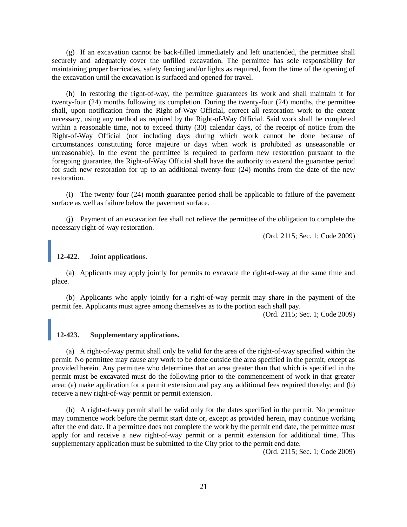(g) If an excavation cannot be back-filled immediately and left unattended, the permittee shall securely and adequately cover the unfilled excavation. The permittee has sole responsibility for maintaining proper barricades, safety fencing and/or lights as required, from the time of the opening of the excavation until the excavation is surfaced and opened for travel.

(h) In restoring the right-of-way, the permittee guarantees its work and shall maintain it for twenty-four (24) months following its completion. During the twenty-four (24) months, the permittee shall, upon notification from the Right-of-Way Official, correct all restoration work to the extent necessary, using any method as required by the Right-of-Way Official. Said work shall be completed within a reasonable time, not to exceed thirty (30) calendar days, of the receipt of notice from the Right-of-Way Official (not including days during which work cannot be done because of circumstances constituting force majeure or days when work is prohibited as unseasonable or unreasonable). In the event the permittee is required to perform new restoration pursuant to the foregoing guarantee, the Right-of-Way Official shall have the authority to extend the guarantee period for such new restoration for up to an additional twenty-four (24) months from the date of the new restoration.

(i) The twenty-four (24) month guarantee period shall be applicable to failure of the pavement surface as well as failure below the pavement surface.

(j) Payment of an excavation fee shall not relieve the permittee of the obligation to complete the necessary right-of-way restoration.

(Ord. 2115; Sec. 1; Code 2009)

## **12-422. Joint applications.**

(a) Applicants may apply jointly for permits to excavate the right-of-way at the same time and place.

(b) Applicants who apply jointly for a right-of-way permit may share in the payment of the permit fee. Applicants must agree among themselves as to the portion each shall pay.

(Ord. 2115; Sec. 1; Code 2009)

#### **12-423. Supplementary applications.**

(a) A right-of-way permit shall only be valid for the area of the right-of-way specified within the permit. No permittee may cause any work to be done outside the area specified in the permit, except as provided herein. Any permittee who determines that an area greater than that which is specified in the permit must be excavated must do the following prior to the commencement of work in that greater area: (a) make application for a permit extension and pay any additional fees required thereby; and (b) receive a new right-of-way permit or permit extension.

(b) A right-of-way permit shall be valid only for the dates specified in the permit. No permittee may commence work before the permit start date or, except as provided herein, may continue working after the end date. If a permittee does not complete the work by the permit end date, the permittee must apply for and receive a new right-of-way permit or a permit extension for additional time. This supplementary application must be submitted to the City prior to the permit end date.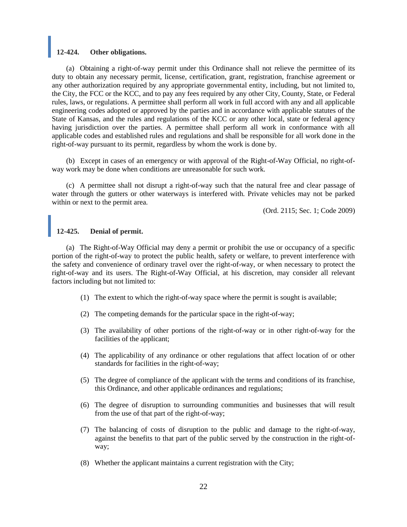## **12-424. Other obligations.**

(a) Obtaining a right-of-way permit under this Ordinance shall not relieve the permittee of its duty to obtain any necessary permit, license, certification, grant, registration, franchise agreement or any other authorization required by any appropriate governmental entity, including, but not limited to, the City, the FCC or the KCC, and to pay any fees required by any other City, County, State, or Federal rules, laws, or regulations. A permittee shall perform all work in full accord with any and all applicable engineering codes adopted or approved by the parties and in accordance with applicable statutes of the State of Kansas, and the rules and regulations of the KCC or any other local, state or federal agency having jurisdiction over the parties. A permittee shall perform all work in conformance with all applicable codes and established rules and regulations and shall be responsible for all work done in the right-of-way pursuant to its permit, regardless by whom the work is done by.

(b) Except in cases of an emergency or with approval of the Right-of-Way Official, no right-ofway work may be done when conditions are unreasonable for such work.

(c) A permittee shall not disrupt a right-of-way such that the natural free and clear passage of water through the gutters or other waterways is interfered with. Private vehicles may not be parked within or next to the permit area.

(Ord. 2115; Sec. 1; Code 2009)

# **12-425. Denial of permit.**

(a) The Right-of-Way Official may deny a permit or prohibit the use or occupancy of a specific portion of the right-of-way to protect the public health, safety or welfare, to prevent interference with the safety and convenience of ordinary travel over the right-of-way, or when necessary to protect the right-of-way and its users. The Right-of-Way Official, at his discretion, may consider all relevant factors including but not limited to:

- (1) The extent to which the right-of-way space where the permit is sought is available;
- (2) The competing demands for the particular space in the right-of-way;
- (3) The availability of other portions of the right-of-way or in other right-of-way for the facilities of the applicant;
- (4) The applicability of any ordinance or other regulations that affect location of or other standards for facilities in the right-of-way;
- (5) The degree of compliance of the applicant with the terms and conditions of its franchise, this Ordinance, and other applicable ordinances and regulations;
- (6) The degree of disruption to surrounding communities and businesses that will result from the use of that part of the right-of-way;
- (7) The balancing of costs of disruption to the public and damage to the right-of-way, against the benefits to that part of the public served by the construction in the right-ofway;
- (8) Whether the applicant maintains a current registration with the City;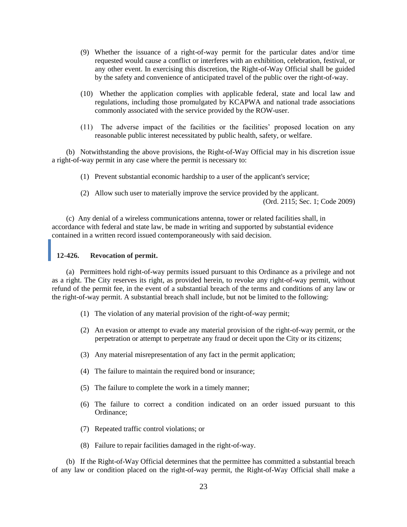- (9) Whether the issuance of a right-of-way permit for the particular dates and/or time requested would cause a conflict or interferes with an exhibition, celebration, festival, or any other event. In exercising this discretion, the Right-of-Way Official shall be guided by the safety and convenience of anticipated travel of the public over the right-of-way.
- (10) Whether the application complies with applicable federal, state and local law and regulations, including those promulgated by KCAPWA and national trade associations commonly associated with the service provided by the ROW-user.
- (11) The adverse impact of the facilities or the facilities' proposed location on any reasonable public interest necessitated by public health, safety, or welfare.

(b) Notwithstanding the above provisions, the Right-of-Way Official may in his discretion issue a right-of-way permit in any case where the permit is necessary to:

- (1) Prevent substantial economic hardship to a user of the applicant's service;
- (2) Allow such user to materially improve the service provided by the applicant. (Ord. 2115; Sec. 1; Code 2009)

(c) Any denial of a wireless communications antenna, tower or related facilities shall, in accordance with federal and state law, be made in writing and supported by substantial evidence contained in a written record issued contemporaneously with said decision.

#### **12-426. Revocation of permit.**

(a) Permittees hold right-of-way permits issued pursuant to this Ordinance as a privilege and not as a right. The City reserves its right, as provided herein, to revoke any right-of-way permit, without refund of the permit fee, in the event of a substantial breach of the terms and conditions of any law or the right-of-way permit. A substantial breach shall include, but not be limited to the following:

- (1) The violation of any material provision of the right-of-way permit;
- (2) An evasion or attempt to evade any material provision of the right-of-way permit, or the perpetration or attempt to perpetrate any fraud or deceit upon the City or its citizens;
- (3) Any material misrepresentation of any fact in the permit application;
- (4) The failure to maintain the required bond or insurance;
- (5) The failure to complete the work in a timely manner;
- (6) The failure to correct a condition indicated on an order issued pursuant to this Ordinance;
- (7) Repeated traffic control violations; or
- (8) Failure to repair facilities damaged in the right-of-way.

(b) If the Right-of-Way Official determines that the permittee has committed a substantial breach of any law or condition placed on the right-of-way permit, the Right-of-Way Official shall make a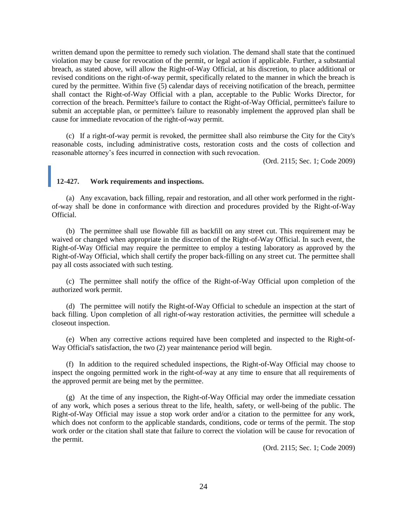written demand upon the permittee to remedy such violation. The demand shall state that the continued violation may be cause for revocation of the permit, or legal action if applicable. Further, a substantial breach, as stated above, will allow the Right-of-Way Official, at his discretion, to place additional or revised conditions on the right-of-way permit, specifically related to the manner in which the breach is cured by the permittee. Within five (5) calendar days of receiving notification of the breach, permittee shall contact the Right-of-Way Official with a plan, acceptable to the Public Works Director, for correction of the breach. Permittee's failure to contact the Right-of-Way Official, permittee's failure to submit an acceptable plan, or permittee's failure to reasonably implement the approved plan shall be cause for immediate revocation of the right-of-way permit.

(c) If a right-of-way permit is revoked, the permittee shall also reimburse the City for the City's reasonable costs, including administrative costs, restoration costs and the costs of collection and reasonable attorney's fees incurred in connection with such revocation.

(Ord. 2115; Sec. 1; Code 2009)

## **12-427. Work requirements and inspections.**

(a) Any excavation, back filling, repair and restoration, and all other work performed in the rightof-way shall be done in conformance with direction and procedures provided by the Right-of-Way Official.

(b) The permittee shall use flowable fill as backfill on any street cut. This requirement may be waived or changed when appropriate in the discretion of the Right-of-Way Official. In such event, the Right-of-Way Official may require the permittee to employ a testing laboratory as approved by the Right-of-Way Official, which shall certify the proper back-filling on any street cut. The permittee shall pay all costs associated with such testing.

(c) The permittee shall notify the office of the Right-of-Way Official upon completion of the authorized work permit.

(d) The permittee will notify the Right-of-Way Official to schedule an inspection at the start of back filling. Upon completion of all right-of-way restoration activities, the permittee will schedule a closeout inspection.

(e) When any corrective actions required have been completed and inspected to the Right-of-Way Official's satisfaction, the two (2) year maintenance period will begin.

(f) In addition to the required scheduled inspections, the Right-of-Way Official may choose to inspect the ongoing permitted work in the right-of-way at any time to ensure that all requirements of the approved permit are being met by the permittee.

(g) At the time of any inspection, the Right-of-Way Official may order the immediate cessation of any work, which poses a serious threat to the life, health, safety, or well-being of the public. The Right-of-Way Official may issue a stop work order and/or a citation to the permittee for any work, which does not conform to the applicable standards, conditions, code or terms of the permit. The stop work order or the citation shall state that failure to correct the violation will be cause for revocation of the permit.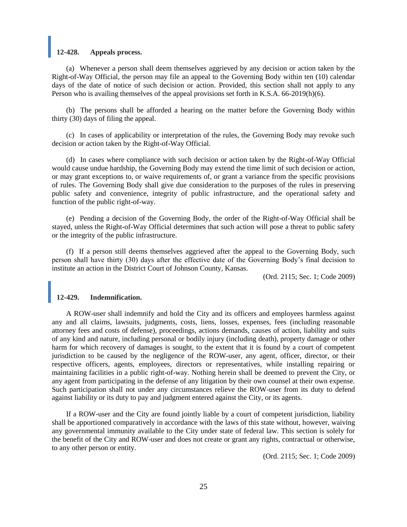#### **12-428. Appeals process.**

(a) Whenever a person shall deem themselves aggrieved by any decision or action taken by the Right-of-Way Official, the person may file an appeal to the Governing Body within ten (10) calendar days of the date of notice of such decision or action. Provided, this section shall not apply to any Person who is availing themselves of the appeal provisions set forth in K.S.A. 66-2019(h)(6).

(b) The persons shall be afforded a hearing on the matter before the Governing Body within thirty (30) days of filing the appeal.

(c) In cases of applicability or interpretation of the rules, the Governing Body may revoke such decision or action taken by the Right-of-Way Official.

(d) In cases where compliance with such decision or action taken by the Right-of-Way Official would cause undue hardship, the Governing Body may extend the time limit of such decision or action, or may grant exceptions to, or waive requirements of, or grant a variance from the specific provisions of rules. The Governing Body shall give due consideration to the purposes of the rules in preserving public safety and convenience, integrity of public infrastructure, and the operational safety and function of the public right-of-way.

(e) Pending a decision of the Governing Body, the order of the Right-of-Way Official shall be stayed, unless the Right-of-Way Official determines that such action will pose a threat to public safety or the integrity of the public infrastructure.

(f) If a person still deems themselves aggrieved after the appeal to the Governing Body, such person shall have thirty (30) days after the effective date of the Governing Body's final decision to institute an action in the District Court of Johnson County, Kansas.

(Ord. 2115; Sec. 1; Code 2009)

#### **12-429. Indemnification.**

A ROW-user shall indemnify and hold the City and its officers and employees harmless against any and all claims, lawsuits, judgments, costs, liens, losses, expenses, fees (including reasonable attorney fees and costs of defense), proceedings, actions demands, causes of action, liability and suits of any kind and nature, including personal or bodily injury (including death), property damage or other harm for which recovery of damages is sought, to the extent that it is found by a court of competent jurisdiction to be caused by the negligence of the ROW-user, any agent, officer, director, or their respective officers, agents, employees, directors or representatives, while installing repairing or maintaining facilities in a public right-of-way. Nothing herein shall be deemed to prevent the City, or any agent from participating in the defense of any litigation by their own counsel at their own expense. Such participation shall not under any circumstances relieve the ROW-user from its duty to defend against liability or its duty to pay and judgment entered against the City, or its agents.

If a ROW-user and the City are found jointly liable by a court of competent jurisdiction, liability shall be apportioned comparatively in accordance with the laws of this state without, however, waiving any governmental immunity available to the City under state of federal law. This section is solely for the benefit of the City and ROW-user and does not create or grant any rights, contractual or otherwise, to any other person or entity.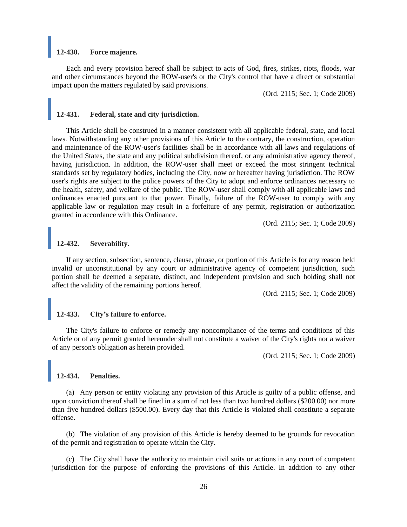#### **12-430. Force majeure.**

Each and every provision hereof shall be subject to acts of God, fires, strikes, riots, floods, war and other circumstances beyond the ROW-user's or the City's control that have a direct or substantial impact upon the matters regulated by said provisions.

(Ord. 2115; Sec. 1; Code 2009)

#### **12-431. Federal, state and city jurisdiction.**

This Article shall be construed in a manner consistent with all applicable federal, state, and local laws. Notwithstanding any other provisions of this Article to the contrary, the construction, operation and maintenance of the ROW-user's facilities shall be in accordance with all laws and regulations of the United States, the state and any political subdivision thereof, or any administrative agency thereof, having jurisdiction. In addition, the ROW-user shall meet or exceed the most stringent technical standards set by regulatory bodies, including the City, now or hereafter having jurisdiction. The ROW user's rights are subject to the police powers of the City to adopt and enforce ordinances necessary to the health, safety, and welfare of the public. The ROW-user shall comply with all applicable laws and ordinances enacted pursuant to that power. Finally, failure of the ROW-user to comply with any applicable law or regulation may result in a forfeiture of any permit, registration or authorization granted in accordance with this Ordinance.

(Ord. 2115; Sec. 1; Code 2009)

## **12-432. Severability.**

If any section, subsection, sentence, clause, phrase, or portion of this Article is for any reason held invalid or unconstitutional by any court or administrative agency of competent jurisdiction, such portion shall be deemed a separate, distinct, and independent provision and such holding shall not affect the validity of the remaining portions hereof.

(Ord. 2115; Sec. 1; Code 2009)

# **12-433. City's failure to enforce.**

The City's failure to enforce or remedy any noncompliance of the terms and conditions of this Article or of any permit granted hereunder shall not constitute a waiver of the City's rights nor a waiver of any person's obligation as herein provided.

(Ord. 2115; Sec. 1; Code 2009)

#### **12-434. Penalties.**

(a) Any person or entity violating any provision of this Article is guilty of a public offense, and upon conviction thereof shall be fined in a sum of not less than two hundred dollars (\$200.00) nor more than five hundred dollars (\$500.00). Every day that this Article is violated shall constitute a separate offense.

(b) The violation of any provision of this Article is hereby deemed to be grounds for revocation of the permit and registration to operate within the City.

(c) The City shall have the authority to maintain civil suits or actions in any court of competent jurisdiction for the purpose of enforcing the provisions of this Article. In addition to any other